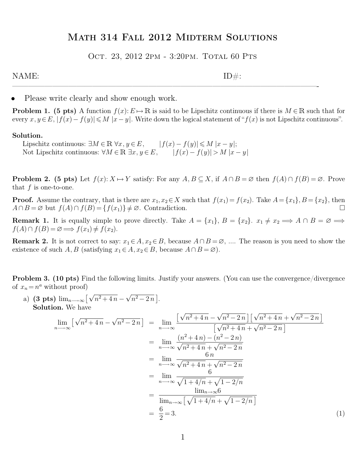# Math 314 Fall 2012 Midterm Solutions

OCT. 23, 2012 2PM - 3:20PM. TOTAL 60 PTS

 $\overline{\phantom{a}}$  , and the contract of the contract of the contract of the contract of the contract of the contract of the contract of the contract of the contract of the contract of the contract of the contract of the contrac

## $\text{NAME:} \quad \text{ID} \# \text{:}$

Please write clearly and show enough work.

**Problem 1. (5 pts)** A function  $f(x): E \to \mathbb{R}$  is said to be Lipschitz continuous if there is  $M \in \mathbb{R}$  such that for every  $x, y \in E$ ,  $|f(x)-f(y)| \leq M |x-y|$ . Write down the logical statement of " $f(x)$  is not Lipschitz continuous".

#### **Solution.**

Lipschitz continuous:  $\exists M \in \mathbb{R} \ \forall x, y \in E, \qquad |f(x) - f(y)| \leqslant M |x - y|;$ Not Lipschitz continuous:  $\forall M \in \mathbb{R} \exists x, y \in E, \qquad |f(x) - f(y)| > M |x - y|$ 

**Problem 2.** (5 pts) Let  $f(x): X \mapsto Y$  satisfy: For any  $A, B \subseteq X$ , if  $A \cap B = \emptyset$  then  $f(A) \cap f(B) = \emptyset$ . Prove that  $f$  is one-to-one.

**Proof.** Assume the contrary, that is there are  $x_1, x_2 \in X$  such that  $f(x_1) = f(x_2)$ . Take  $A = \{x_1\}, B = \{x_2\}$ , then  $A \cap B = \varnothing$  but  $f(A) \cap f(B) = \{f(x_1)\} \neq \varnothing$ . Contradiction.

**Remark 1.** It is equally simple to prove directly. Take  $A = \{x_1\}$ ,  $B = \{x_2\}$ .  $x_1 \neq x_2 \implies A \cap B = \emptyset \implies A \cap B = \emptyset$  $f(A) \cap f(B) = \varnothing \Longrightarrow f(x_1) \neq f(x_2).$ 

**Remark 2.** It is not correct to say:  $x_1 \in A$ ,  $x_2 \in B$ , because  $A \cap B = \emptyset$ , .... The reason is you need to show the existence of such A, B (satisfying  $x_1 \in A$ ,  $x_2 \in B$ , because  $A \cap B = \emptyset$ ).

**Problem 3. (10 pts)** Find the following limits. Justify your answers. (You can use the convergence/divergence of  $x_n = n^a$  without proof)

a) **(3 pts)**  $\lim_{n \to \infty} \left[ \sqrt{n^2 + 4n} - \sqrt{n^2 - 2n} \right]$ . **Solution.** We have

$$
\lim_{n \to \infty} \left[ \sqrt{n^2 + 4n} - \sqrt{n^2 - 2n} \right] = \lim_{n \to \infty} \frac{\left[ \sqrt{n^2 + 4n} - \sqrt{n^2 - 2n} \right] \left[ \sqrt{n^2 + 4n} + \sqrt{n^2 - 2n} \right]}{\left[ \sqrt{n^2 + 4n} + \sqrt{n^2 - 2n} \right]}
$$
\n
$$
= \lim_{n \to \infty} \frac{(n^2 + 4n) - (n^2 - 2n)}{\sqrt{n^2 + 4n} + \sqrt{n^2 - 2n}}
$$
\n
$$
= \lim_{n \to \infty} \frac{6n}{\sqrt{n^2 + 4n} + \sqrt{n^2 - 2n}}
$$
\n
$$
= \lim_{n \to \infty} \frac{6}{\sqrt{1 + 4/n} + \sqrt{1 - 2/n}}
$$
\n
$$
= \frac{\lim_{n \to \infty} \left[ \sqrt{1 + 4/n} + \sqrt{1 - 2/n} \right]}{\sqrt{1 + 4/n} + \sqrt{1 - 2/n}}
$$
\n
$$
= \frac{6}{2} = 3.
$$
\n(1)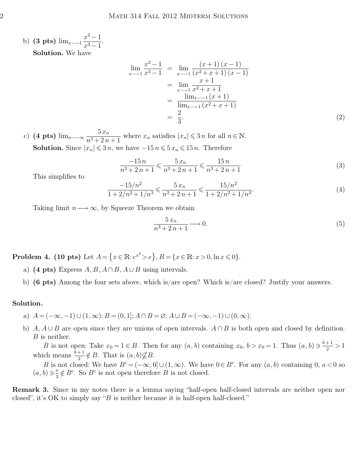b) **(3 pts)**  $\lim_{x \to 1} \frac{x^2 - 1}{x^3 - 1}$  $\frac{x}{x^3-1}$ . **Solution.** We have

$$
\lim_{x \to 1} \frac{x^2 - 1}{x^3 - 1} = \lim_{x \to 1} \frac{(x+1)(x-1)}{(x^2 + x + 1)(x-1)} \n= \lim_{x \to 1} \frac{x+1}{x^2 + x + 1} \n= \frac{\lim_{x \to 1} (x+1)}{\lim_{x \to 1} (x^2 + x + 1)} \n= \frac{2}{3}.
$$
\n(2)

c) **(4 pts)**  $\lim_{n \to \infty} \frac{5x_n}{n^3 + 2n + 1}$  where  $x_n$  satisfies  $|x_n| \leq 3n$  for all  $n \in \mathbb{N}$ . **Solution.** Since  $|x_n| \leq 3n$ , we have  $-15n \leq 5x_n \leq 15n$ . Therefore

$$
\frac{-15\,n}{n^3+2\,n+1} \leqslant \frac{5\,x_n}{n^3+2\,n+1} \leqslant \frac{15\,n}{n^3+2\,n+1} \tag{3}
$$

This simplifies to

$$
\frac{-15/n^2}{1+2/n^2+1/n^3} \leqslant \frac{5 x_n}{n^3+2 n+1} \leqslant \frac{15/n^2}{1+2/n^2+1/n^3}.\tag{4}
$$

Taking limit  $n \longrightarrow \infty$ , by Squeeze Theorem we obtain

$$
\frac{5x_n}{n^3 + 2n + 1} \longrightarrow 0. \tag{5}
$$

**Problem 4.** (10 pts) Let  $A = \{x \in \mathbb{R} : e^{x^2} > e\}, B = \{x \in \mathbb{R} : x > 0, \ln x \leq 0\}.$ 

- a) **(4 pts)** Express  $A, B, A \cap B, A \cup B$  using intervals.
- b) **(6 pts)** Among the four sets above, which is/are open? Which is/are closed? Justify your answers.

#### **Solution.**

- a)  $A = (-\infty, -1) \cup (1, \infty); B = (0, 1]; A \cap B = \emptyset; A \cup B = (-\infty, -1) \cup (0, \infty).$
- b)  $A, A \cup B$  are open since they are unions of open intervals.  $A \cap B$  is both open and closed by definition. B is neither.

B is not open: Take  $x_0 = 1 \in B$ . Then for any  $(a, b)$  containing  $x_0$ ,  $b > x_0 = 1$ . Thus  $(a, b) \ni \frac{b+1}{2}$  $\frac{+1}{2} > 1$ which means  $\frac{b+1}{2} \notin B$ . That is  $(a, b) \nsubseteq B$ .

B is not closed: We have  $B^c = (-\infty, 0] \cup (1, \infty)$ . We have  $0 \in B^c$ . For any  $(a, b)$  containing 0,  $a < 0$  so  $(a, b) \ni \frac{a}{2}$  $\frac{a}{2} \notin B^c$ . So  $B^c$  is not open therefore B is not closed.

**Remark 3.** Since in my notes there is a lemma saying "half-open half-closed intervals are neither open nor closed", it's OK to simply say "B is neither because it is half-open half-closed."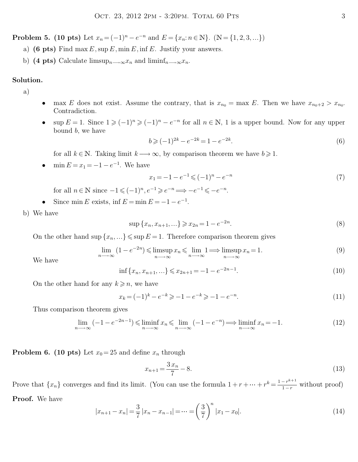**Problem 5. (10 pts)** Let  $x_n = (-1)^n - e^{-n}$  and  $E = \{x_n : n \in \mathbb{N}\}\)$ . ( $\mathbb{N} = \{1, 2, 3, ...\}$ )

- a) **(6 pts)** Find max  $E$ , sup  $E$ , min  $E$ , inf  $E$ . Justify your answers.
- b) **(4 pts)** Calculate  $\limsup_{n\to\infty}x_n$  and  $\liminf_{n\to\infty}x_n$ .

### **Solution.**

a)

- max E does not exist. Assume the contrary, that is  $x_{n_0} = \max E$ . Then we have  $x_{n_0+2} > x_{n_0}$ . Contradiction.
- sup  $E = 1$ . Since  $1 \geqslant (-1)^n \geqslant (-1)^n e^{-n}$  for all  $n \in \mathbb{N}$ , 1 is a upper bound. Now for any upper bound  $b$ , we have

$$
b \geqslant (-1)^{2k} - e^{-2k} = 1 - e^{-2k}.
$$
\n<sup>(6)</sup>

for all  $k \in \mathbb{N}$ . Taking limit  $k \longrightarrow \infty$ , by comparison theorem we have  $b \geqslant 1$ .

• min  $E = x_1 = -1 - e^{-1}$ . We have

$$
x_1 = -1 - e^{-1} \leqslant (-1)^n - e^{-n} \tag{7}
$$

for all  $n \in \mathbb{N}$  since  $-1 \leqslant (-1)^n, e^{-1} \geqslant e^{-n} \Longrightarrow -e^{-1} \leqslant -e^{-n}$ .

- Since min E exists, inf  $E = \min E = -1 e^{-1}$ .
- b) We have

$$
\sup\{x_n, x_{n+1}, ...\} \ge x_{2n} = 1 - e^{-2n}.
$$
\n(8)

On the other hand sup  $\{x_n, ...\} \leqslant \sup E = 1$ . Therefore comparison theorem gives

$$
\lim_{n \to \infty} (1 - e^{-2n}) \le \limsup_{n \to \infty} x_n \le \lim_{n \to \infty} 1 \Longrightarrow \limsup_{n \to \infty} x_n = 1.
$$
\n(9)

We have

$$
\inf\{x_n, x_{n+1}, \ldots\} \le x_{2n+1} = -1 - e^{-2n-1}.\tag{10}
$$

On the other hand for any  $k \geq n$ , we have

$$
x_k = (-1)^k - e^{-k} \ge -1 - e^{-k} \ge -1 - e^{-n}.
$$
\n(11)

Thus comparison theorem gives

$$
\lim_{n \to \infty} \left( -1 - e^{-2n-1} \right) \leq \liminf_{n \to \infty} x_n \leq \lim_{n \to \infty} \left( -1 - e^{-n} \right) \Longrightarrow \liminf_{n \to \infty} x_n = -1. \tag{12}
$$

**Problem 6. (10 pts)** Let  $x_0 = 25$  and define  $x_n$  through

$$
x_{n+1} = \frac{3 x_n}{7} - 8.\t\t(13)
$$

Prove that  $\{x_n\}$  converges and find its limit. (You can use the formula  $1 + r + \dots + r^k = \frac{1 - r^{k+1}}{1 - r}$  $\frac{r}{1-r}$  without proof) **Proof.** We have

$$
|x_{n+1} - x_n| = \frac{3}{7} |x_n - x_{n-1}| = \dots = \left(\frac{3}{7}\right)^n |x_1 - x_0|.
$$
 (14)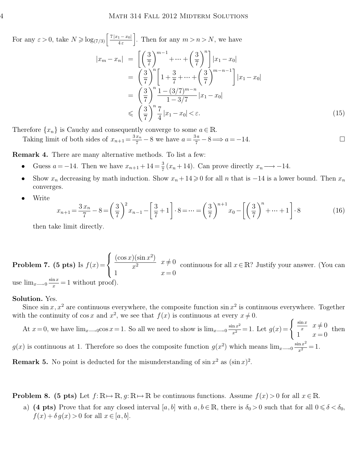For any  $\varepsilon > 0$ , take  $N \geqslant \log_{(7/3)}\left[\frac{7|x_1-x_0|}{4\varepsilon}\right]$ 4 ε . Then for any  $m > n > N$ , we have  $|x_m - x_n| = \left[\frac{3}{7}\right]$ 7  $\bigwedge^{m-1}$  $+ \cdots +$  $\sqrt{3}$ 7  $\binom{n}{k}$  $|x_1 - x_0|$ =  $\sqrt{3}$ 7  $\int_0^n \left[ 1 + \frac{3}{7} + \dots + \right]$  $\sqrt{3}$ 7  $\left| \int_{0}^{m-n-1} \right| |x_1 - x_0|$ =  $\sqrt{3}$ 7  $\sum_{n=1}^{\infty} \frac{1-(3/7)^{m-n}}{n}$  $\frac{(9/1)}{1-3/7}$   $|x_1-x_0|$  $\leqslant \left(\frac{3}{7}\right)$ 7  $\bigwedge^n 7$  $\frac{1}{4}|x_1 - x_0| < \varepsilon.$  (15)

Therefore  $\{x_n\}$  is Cauchy and consequently converge to some  $a \in \mathbb{R}$ .

Taking limit of both sides of  $x_{n+1} = \frac{3x_n}{7}$  $\frac{x_n}{7} - 8$  we have  $a = \frac{3a}{7}$  $\frac{a}{7} - 8 \Longrightarrow a = -14.$ 

**Remark 4.** There are many alternative methods. To list a few:

- Guess  $a = -14$ . Then we have  $x_{n+1} + 14 = \frac{3}{7}$  $\frac{3}{7}(x_n+14)$ . Can prove directly  $x_n \longrightarrow -14$ .
- Show  $x_n$  decreasing by math induction. Show  $x_n+14\geqslant 0$  for all n that is  $-14$  is a lower bound. Then  $x_n$ converges.
- Write

$$
x_{n+1} = \frac{3 x_n}{7} - 8 = \left(\frac{3}{7}\right)^2 x_{n-1} - \left[\frac{3}{7} + 1\right] \cdot 8 = \dots = \left(\frac{3}{7}\right)^{n+1} x_0 - \left[\left(\frac{3}{7}\right)^n + \dots + 1\right] \cdot 8 \tag{16}
$$

then take limit directly.

**Problem 7.** (5 pts) Is  $f(x) =$  $\sqrt{ }$  $\int$  $\mathcal{L}$  $(\cos x)(\sin x^2)$  $\int_{0}^{\sqrt{3m}x} x \neq 0$ 1  $x = 0$ continuous for all  $x \in \mathbb{R}$ ? Justify your answer. (You can use  $\lim_{x\longrightarrow 0} \frac{\sin x}{x}$  $\frac{\ln x}{x} = 1$  without proof).

#### **Solution.** Yes.

Since  $\sin x$ ,  $x^2$  are continuous everywhere, the composite function  $\sin x^2$  is continuous everywhere. Together with the continuity of  $\cos x$  and  $x^2$ , we see that  $f(x)$  is continuous at every  $x \neq 0$ .

At  $x=0$ , we have  $\lim_{x\to 0} \cos x=1$ . So all we need to show is  $\lim_{x\to 0} \frac{\sin x^2}{x^2}=1$ . Let  $g(x)=\begin{cases} \frac{\sin x}{x} & \text{if } x>0 \end{cases}$  $\frac{\ln x}{x}$   $x \neq 0$ 1  $x = 0$ then  $g(x)$  is continuous at 1. Therefore so does the composite function  $g(x^2)$  which means  $\lim_{x\to 0} \frac{\sin x^2}{x^2} = 1$ .

**Remark 5.** No point is deducted for the misunderstanding of  $\sin x^2$  as  $(\sin x)^2$ .

**Problem 8.** (5 pts) Let  $f: \mathbb{R} \to \mathbb{R}$ ,  $g: \mathbb{R} \to \mathbb{R}$  be continuous functions. Assume  $f(x) > 0$  for all  $x \in \mathbb{R}$ .

a) **(4 pts)** Prove that for any closed interval [a, b] with  $a, b \in \mathbb{R}$ , there is  $\delta_0 > 0$  such that for all  $0 \le \delta < \delta_0$ ,  $f(x)+\delta g(x) > 0$  for all  $x \in [a, b]$ .